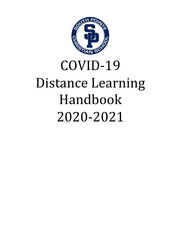

# COVID-19 Distance Learning Handbook 2020-2021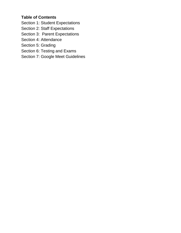## **Table of Contents**

- Section 1: Student Expectations
- Section 2: Staff Expectations
- Section 3: Parent Expectations
- Section 4: Attendance
- Section 5: Grading
- Section 6: Testing and Exams
- Section 7: Google Meet Guidelines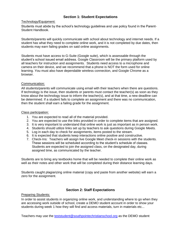## **Section 1: Student Expectations**

#### Technology/Equipment:

Students must abide by the school's technology guidelines and use policy found in the Parent-Student Handbook.

Students/parents will quickly communicate with school about technology and internet needs. If a student has what they need to complete online work, and it is not completed by due dates, then students may earn failing grades on said online assignments.

Students must have access to G-Suite (Google suite), which is assessable through the student's school issued email address. Google Classroom will be the primary platform used by all teachers for instruction and assignments. Students need access to a microphone and camera on their device, and we recommend that a phone is NOT the form used for online learning. You must also have dependable wireless connection, and Google Chrome as a browser.

#### Communication:

All students/parents will communicate using email with their teachers when there are questions. If technology is the issue, then students or parents must contact the teacher(s) as soon as they know about the technology issue to inform the teacher(s), and at that time, a new deadline can be determined. If a student fails to complete an assignment and there was no communication, then the student shall earn a failing grade for the assignment.

#### Class participation:

- 1. You are expected to read all of the material provided.
- 2. You are expected to use the links provided in order to complete items that are assigned.
- 3. It is very important to understand that online work is just as important as in person work.
- 4. Students should utilize links set up by teachers to ask questions during Google Meets.
- 5. Log in each day to check for assignments, items posted to the stream.
- 6. It is expected that students keep interactions online positive and constructive.
- 7. Check-Ins: Teachers will assign live Google Meet check-in sessions with the students. These sessions will be scheduled according to the student's schedule of classes. Students are expected to join the assigned class, on the designated day, during assigned time, as communicated by the teacher.

Students are to bring any textbooks home that will be needed to complete their online work as well as their notes and other work that will be completed during their distance learning days.

Students caught plagiarizing online material (copy and paste from another website) will earn a zero for the assignment.

## **Section 2: Staff Expectations**

#### Preparing Students:

In order to assist students in organizing online work, and understanding where to go when they are accessing work outside of school, create a DEMO student account in order to show your students during week 1 how they will find and access materials, turn in materials etc...

Teachers may use the [teststudent@southpointechristianschool.org](mailto:teststudent@southpointechristianschool.org) as the DEMO student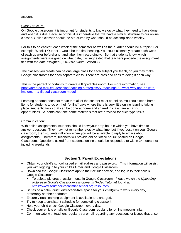#### account.

#### Class Structure:

On Google classroom, it is important for students to know exactly what they need to have done, and when it is due. Because of this, it is imperative that we have a similar structure to our online classes. Online classes should be structured by what should be accomplished weekly.

For this to be easiest, each week of the semester as well as the quarter should be a "topic." For example: Week 1 Quarter 1 would be the first heading. You could ultimately create each week of each quarter beforehand, and label them accordingly. So that students know which assignments were assigned on what date, it is suggested that teachers precede the assignment title with the date assigned (*8-10-2020 Math Lesson 1*).

The classes you create can be one large class for each subject you teach, or you may make Google classrooms for each separate class. There are pros and cons to doing it each way.

This is the perfect opportunity to create a flipped classroom. For more information, see: [https://omerad.msu.edu/teaching/teaching-strategies/27-teaching/162-what-why-and-ho w-to](https://omerad.msu.edu/teaching/teaching-strategies/27-teaching/162-what-why-and-ho%20w-to-implement-a-flipped-classroom-model)[implement-a-flipped-classroom-model](https://omerad.msu.edu/teaching/teaching-strategies/27-teaching/162-what-why-and-ho%20w-to-implement-a-flipped-classroom-model)

Learning at home does not mean that all of the content must be online. You could send home items for students to do on their "online" days where there is very little online learning taking place. Authentic tasks that can be done at home and shared in class, are amazing opportunities. Students can take home materials that are provided for such type tasks.

#### Communication:

With online assignments, students should know your prep hour in which you have time to answer questions. They may not remember exactly what time, but if you post it on your Google classroom, then students will know when you will be available to reply to emails about assignments. Therefore, teachers will provide online "office hours" posted on Google Classroom. Questions asked from students online should be responded to within 24 hours, not including weekends.

#### **Section 3: Parent Expectations**

- Obtain your child's school issued email address and password. This information will assist you with logging in to your child's Gmail and Google Classroom.
- Download the Google Classroom app to their cellular device, and log-in to their child's Google Classroom
	- To upload pictures of assignments in Google Classroom. Please watch the *Uploading pictures to Google Classroom assignments (Video Tutorial)* found at <https://www.southpointechristianschool.org/resources>
- Set aside a calm, quiet, distraction-free space for your child(ren) to work every day, preferably not their bedroom.
- Ensure virtual learning equipment is available and charged.
- Try to keep a consistent schedule for completing classwork.
- Help your child check Google Classroom every day.
- Check your child's emails or Google Classroom regularly for online meeting links.
- Communicate with teachers regularly via email regarding any questions or issues that arise.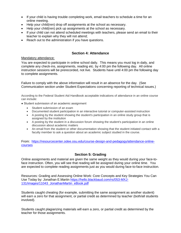- If your child is having trouble completing work, email teachers to schedule a time for an online meeting.
- Help your child(ren) drop off assignments at the school as necessary.
- Help your child(ren) pick up assignments at the school as necessary.
- If your child can not attend scheduled meetings with teachers, please send an email to their teacher to explain why they will not attend;
- Reach out to the administration if you have questions.

### **Section 4: Attendance**

#### Mandatory attendance:

You are expected to participate in online school daily. This means you must log in daily, and complete any check-ins, assignments, reading etc. by 4:00 pm the following day. All online instruction sessions will be prerecorded, not live. Students have until 4:00 pm the following day to complete assignments.

Failure to comply with the above information will result in an absence for the day. (See Communication section under Student Expectations concerning reporting of technical issues.)

According to the Federal Student Aid Handbook acceptable indications of attendance in an online course can include:

- Student submission of an academic assignment
	- Student submission of an exam
	- Documented student participation in an interactive tutorial or computer-assisted instruction
	- A posting by the student showing the student's participation in an online study group that is assigned by the institution
	- A posting by the student in a discussion forum showing the student's participation in an online discussion about academic matters
	- An email from the student or other documentation showing that the student initiated contact with a faculty member to ask a question about an academic subject studied in the course.

From: [https://resourcecenter.odee.osu.edu/course-design-and-pedagogy/attendance-online](https://resourcecenter.odee.osu.edu/course-design-and-pedagogy/attendance-online-courses)[courses](https://resourcecenter.odee.osu.edu/course-design-and-pedagogy/attendance-online-courses)

## **Section 5: Grading**

Online assignments and material are given the same weight as they would during your face-toface instruction. Often, you will see that reading will be assigned during your online time. You are expected to complete reading assignments just as you would during face-to-face instruction.

Resources: Grading and Assessing Online Work: Core Concepts and Key Strategies You Can Use Today by: Jonathan E.Martin [https://hello.blackbaud.com/rs/053-MXJ-](https://hello.blackbaud.com/rs/053-MXJ-131/images/11043_JonathanMartin_eBook.pdf)[131/images/11043\\_JonathanMartin\\_eBook.pdf](https://hello.blackbaud.com/rs/053-MXJ-131/images/11043_JonathanMartin_eBook.pdf)

Students caught cheating (for example, submitting the same assignment as another student) will earn a zero for that assignment, or partial credit as determined by teacher (both/all students involved).

Students caught plagiarizing materials will earn a zero, or partial credit as determined by the teacher for those assignments.